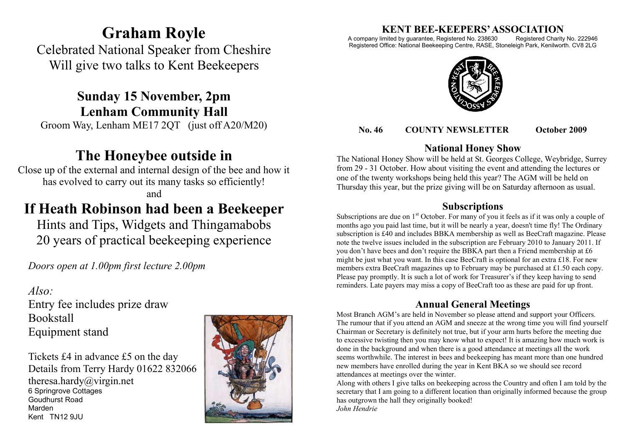# **Graham Royle**

Celebrated National Speaker from Cheshire Will give two talks to Kent Beekeepers

**Sunday 15 November, 2pm Lenham Community Hall** Groom Way, Lenham ME17 2QT (just off A20/M20)

# **The Honeybee outside in**

Close up of the external and internal design of the bee and how it has evolved to carry out its many tasks so efficiently! and

# **If Heath Robinson had been a Beekeeper**

Hints and Tips, Widgets and Thingamabobs 20 years of practical beekeeping experience

*Doors open at 1.00pm first lecture 2.00pm*

## *Also:*

Entry fee includes prize draw Bookstall Equipment stand

Tickets £4 in advance £5 on the day Details from Terry Hardy 01622 832066 theresa.hardy@virgin.net 6 Springrove Cottages Goudhurst Road Marden Kent TN12 9.IU



# **KENT BEE-KEEPERS' ASSOCIATION**<br>imited by guarantee, Registered No. 238630 Registered Charity No. 222946

A company limited by guarantee, Registered No. 238630 Registered Office: National Beekeeping Centre, RASE, Stoneleigh Park, Kenilworth. CV8 2LG



#### **No. 46 COUNTY NEWSLETTER October 2009**

### **National Honey Show**

The National Honey Show will be held at St. Georges College, Weybridge, Surrey from 29 - 31 October. How about visiting the event and attending the lectures or one of the twenty workshops being held this year? The AGM will be held on Thursday this year, but the prize giving will be on Saturday afternoon as usual.

### **Subscriptions**

Subscriptions are due on  $1<sup>st</sup>$  October. For many of you it feels as if it was only a couple of months ago you paid last time, but it will be nearly a year, doesn't time fly! The Ordinary subscription is £40 and includes BBKA membership as well as BeeCraft magazine. Please note the twelve issues included in the subscription are February 2010 to January 2011. If you don't have bees and don't require the BBKA part then a Friend membership at £6 might be just what you want. In this case BeeCraft is optional for an extra £18. For new members extra BeeCraft magazines up to February may be purchased at £1.50 each copy. Please pay promptly. It is such a lot of work for Treasurer's if they keep having to send reminders. Late payers may miss a copy of BeeCraft too as these are paid for up front.

## **Annual General Meetings**

Most Branch AGM's are held in November so please attend and support your Officers. The rumour that if you attend an AGM and sneeze at the wrong time you will find yourself Chairman or Secretary is definitely not true, but if your arm hurts before the meeting due to excessive twisting then you may know what to expect! It is amazing how much work is done in the background and when there is a good attendance at meetings all the work seems worthwhile. The interest in bees and beekeeping has meant more than one hundred new members have enrolled during the year in Kent BKA so we should see record attendances at meetings over the winter.

Along with others I give talks on beekeeping across the Country and often I am told by the secretary that I am going to a different location than originally informed because the group has outgrown the hall they originally booked! *John Hendrie*